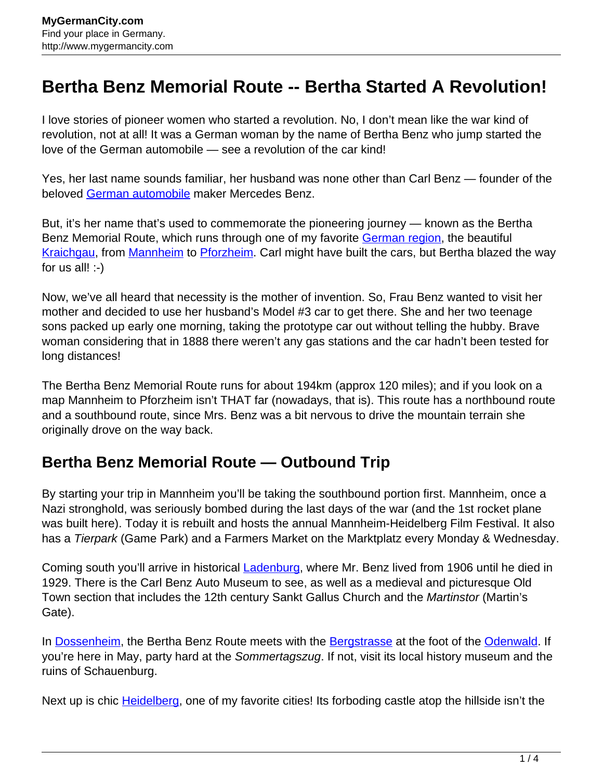## **Bertha Benz Memorial Route -- Bertha Started A Revolution!**

I love stories of pioneer women who started a revolution. No, I don't mean like the war kind of revolution, not at all! It was a German woman by the name of Bertha Benz who jump started the love of the German automobile — see a revolution of the car kind!

Yes, her last name sounds familiar, her husband was none other than Carl Benz — founder of the beloved [German automobile](http://www.mygermancity.com/german-cars) maker Mercedes Benz.

But, it's her name that's used to commemorate the pioneering journey — known as the Bertha Benz Memorial Route, which runs through one of my favorite [German region](http://www.mygermancity.com/german-regions), the beautiful [Kraichgau,](http://www.mygermancity.com/kraichgau) from [Mannheim](http://www.mygermancity.com/mannheim) to [Pforzheim](http://www.mygermancity.com/pforzheim). Carl might have built the cars, but Bertha blazed the way for us all!  $:-)$ 

Now, we've all heard that necessity is the mother of invention. So, Frau Benz wanted to visit her mother and decided to use her husband's Model #3 car to get there. She and her two teenage sons packed up early one morning, taking the prototype car out without telling the hubby. Brave woman considering that in 1888 there weren't any gas stations and the car hadn't been tested for long distances!

The Bertha Benz Memorial Route runs for about 194km (approx 120 miles); and if you look on a map Mannheim to Pforzheim isn't THAT far (nowadays, that is). This route has a northbound route and a southbound route, since Mrs. Benz was a bit nervous to drive the mountain terrain she originally drove on the way back.

## **Bertha Benz Memorial Route — Outbound Trip**

By starting your trip in Mannheim you'll be taking the southbound portion first. Mannheim, once a Nazi stronghold, was seriously bombed during the last days of the war (and the 1st rocket plane was built here). Today it is rebuilt and hosts the annual Mannheim-Heidelberg Film Festival. It also has a Tierpark (Game Park) and a Farmers Market on the Marktplatz every Monday & Wednesday.

Coming south you'll arrive in historical **Ladenburg**, where Mr. Benz lived from 1906 until he died in 1929. There is the Carl Benz Auto Museum to see, as well as a medieval and picturesque Old Town section that includes the 12th century Sankt Gallus Church and the Martinstor (Martin's Gate).

In [Dossenheim,](http://www.mygermancity.com/dossenheim) the Bertha Benz Route meets with the [Bergstrasse](http://www.mygermancity.com/bergstrasse) at the foot of the [Odenwald](http://www.mygermancity.com/odenwald). If you're here in May, party hard at the Sommertagszug. If not, visit its local history museum and the ruins of Schauenburg.

Next up is chic [Heidelberg,](http://www.mygermancity.com/heidelberg) one of my favorite cities! Its forboding castle atop the hillside isn't the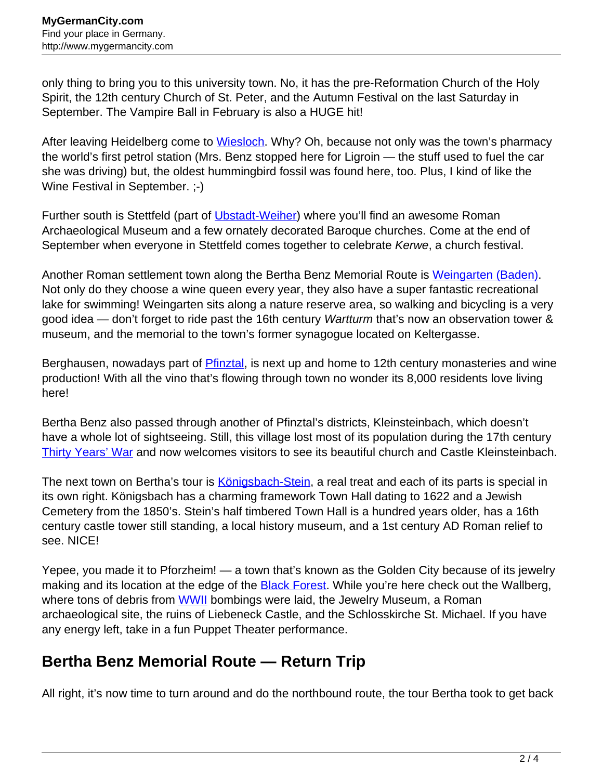only thing to bring you to this university town. No, it has the pre-Reformation Church of the Holy Spirit, the 12th century Church of St. Peter, and the Autumn Festival on the last Saturday in September. The Vampire Ball in February is also a HUGE hit!

After leaving Heidelberg come to [Wiesloch.](http://www.mygermancity.com/wiesloch) Why? Oh, because not only was the town's pharmacy the world's first petrol station (Mrs. Benz stopped here for Ligroin — the stuff used to fuel the car she was driving) but, the oldest hummingbird fossil was found here, too. Plus, I kind of like the Wine Festival in September. ;-)

Further south is Stettfeld (part of [Ubstadt-Weiher](http://www.mygermancity.com/ubstadt-weiher)) where you'll find an awesome Roman Archaeological Museum and a few ornately decorated Baroque churches. Come at the end of September when everyone in Stettfeld comes together to celebrate Kerwe, a church festival.

Another Roman settlement town along the Bertha Benz Memorial Route is [Weingarten \(Baden\).](http://www.mygermancity.com/weingarten-baden) Not only do they choose a wine queen every year, they also have a super fantastic recreational lake for swimming! Weingarten sits along a nature reserve area, so walking and bicycling is a very good idea — don't forget to ride past the 16th century Wartturm that's now an observation tower & museum, and the memorial to the town's former synagogue located on Keltergasse.

Berghausen, nowadays part of [Pfinztal,](http://www.mygermancity.com/pfinztal) is next up and home to 12th century monasteries and wine production! With all the vino that's flowing through town no wonder its 8,000 residents love living here!

Bertha Benz also passed through another of Pfinztal's districts, Kleinsteinbach, which doesn't have a whole lot of sightseeing. Still, this village lost most of its population during the 17th century [Thirty Years' War](http://www.mygermancity.com/thirty-years-war) and now welcomes visitors to see its beautiful church and Castle Kleinsteinbach.

The next town on Bertha's tour is [Königsbach-Stein](http://www.mygermancity.com/koenigsbach-stein), a real treat and each of its parts is special in its own right. Königsbach has a charming framework Town Hall dating to 1622 and a Jewish Cemetery from the 1850's. Stein's half timbered Town Hall is a hundred years older, has a 16th century castle tower still standing, a local history museum, and a 1st century AD Roman relief to see. NICE!

Yepee, you made it to Pforzheim! — a town that's known as the Golden City because of its jewelry making and its location at the edge of the **[Black Forest](http://www.mygermancity.com/black-forest)**. While you're here check out the Wallberg, where tons of debris from [WWII](http://www.mygermancity.com/world-war-ii) bombings were laid, the Jewelry Museum, a Roman archaeological site, the ruins of Liebeneck Castle, and the Schlosskirche St. Michael. If you have any energy left, take in a fun Puppet Theater performance.

## **Bertha Benz Memorial Route — Return Trip**

All right, it's now time to turn around and do the northbound route, the tour Bertha took to get back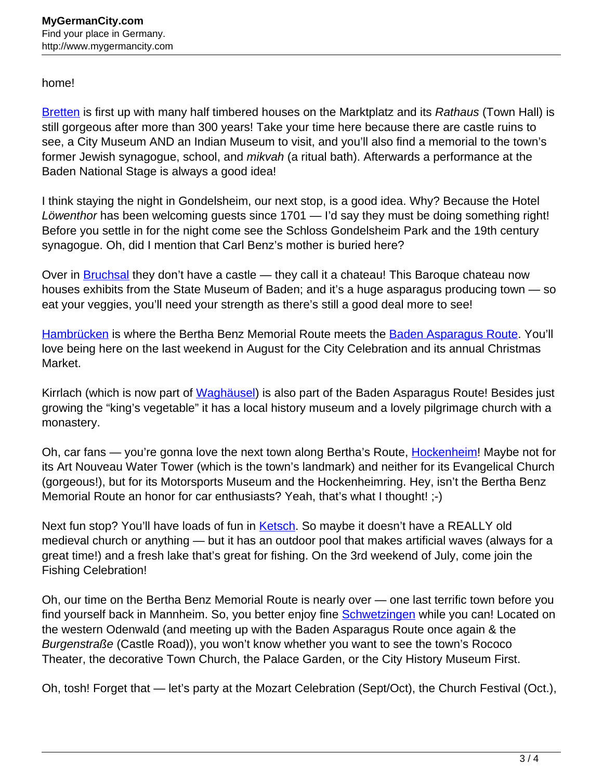## home!

[Bretten](http://www.mygermancity.com/bretten) is first up with many half timbered houses on the Marktplatz and its Rathaus (Town Hall) is still gorgeous after more than 300 years! Take your time here because there are castle ruins to see, a City Museum AND an Indian Museum to visit, and you'll also find a memorial to the town's former Jewish synagogue, school, and *mikvah* (a ritual bath). Afterwards a performance at the Baden National Stage is always a good idea!

I think staying the night in Gondelsheim, our next stop, is a good idea. Why? Because the Hotel Löwenthor has been welcoming guests since 1701 — I'd say they must be doing something right! Before you settle in for the night come see the Schloss Gondelsheim Park and the 19th century synagogue. Oh, did I mention that Carl Benz's mother is buried here?

Over in **[Bruchsal](http://www.mygermancity.com/bruchsal)** they don't have a castle — they call it a chateau! This Baroque chateau now houses exhibits from the State Museum of Baden; and it's a huge asparagus producing town — so eat your veggies, you'll need your strength as there's still a good deal more to see!

[Hambrücken](http://www.mygermancity.com/hambruecken) is where the Bertha Benz Memorial Route meets the [Baden Asparagus Route](http://www.mygermancity.com/baden-asparagus-route). You'll love being here on the last weekend in August for the City Celebration and its annual Christmas Market.

Kirrlach (which is now part of [Waghäusel](http://www.mygermancity.com/waghaeusel)) is also part of the Baden Asparagus Route! Besides just growing the "king's vegetable" it has a local history museum and a lovely pilgrimage church with a monastery.

Oh, car fans — you're gonna love the next town along Bertha's Route, [Hockenheim!](http://www.mygermancity.com/hockenheim) Maybe not for its Art Nouveau Water Tower (which is the town's landmark) and neither for its Evangelical Church (gorgeous!), but for its Motorsports Museum and the Hockenheimring. Hey, isn't the Bertha Benz Memorial Route an honor for car enthusiasts? Yeah, that's what I thought! ;-)

Next fun stop? You'll have loads of fun in [Ketsch.](http://www.mygermancity.com/ketsch) So maybe it doesn't have a REALLY old medieval church or anything — but it has an outdoor pool that makes artificial waves (always for a great time!) and a fresh lake that's great for fishing. On the 3rd weekend of July, come join the Fishing Celebration!

Oh, our time on the Bertha Benz Memorial Route is nearly over — one last terrific town before you find yourself back in Mannheim. So, you better enjoy fine [Schwetzingen](http://www.mygermancity.com/schwetzingen) while you can! Located on the western Odenwald (and meeting up with the Baden Asparagus Route once again & the Burgenstraße (Castle Road)), you won't know whether you want to see the town's Rococo Theater, the decorative Town Church, the Palace Garden, or the City History Museum First.

Oh, tosh! Forget that — let's party at the Mozart Celebration (Sept/Oct), the Church Festival (Oct.),